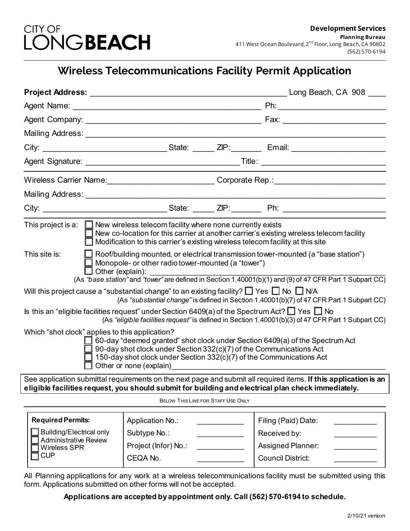

# **Wireless Telecommunications Facility Permit Application**

|                                                                                                                                                                                                                                                                          |                                                                                                                                                                                      |  | City: ________________________________State: _______ ZIP: __________ Email: ________________________ |
|--------------------------------------------------------------------------------------------------------------------------------------------------------------------------------------------------------------------------------------------------------------------------|--------------------------------------------------------------------------------------------------------------------------------------------------------------------------------------|--|------------------------------------------------------------------------------------------------------|
|                                                                                                                                                                                                                                                                          |                                                                                                                                                                                      |  |                                                                                                      |
|                                                                                                                                                                                                                                                                          | Wireless Carrier Name: <u>Communication of Corporate Rep.</u> Corporate Rep.:                                                                                                        |  |                                                                                                      |
|                                                                                                                                                                                                                                                                          |                                                                                                                                                                                      |  |                                                                                                      |
|                                                                                                                                                                                                                                                                          |                                                                                                                                                                                      |  |                                                                                                      |
| This project is a: $\Box$ New wireless telecom facility where none currently exists<br>$\Box$ New co-location for this carrier at another carrier's existing wireless telecom facility<br>Modification to this carrier's existing wireless telecom facility at this site |                                                                                                                                                                                      |  |                                                                                                      |
| This site is:<br>Other (explain):                                                                                                                                                                                                                                        | Monopole- or other radio tower-mounted (a "tower")                                                                                                                                   |  | Roof/building mounted, or electrical transmission tower-mounted (a "base station")                   |
| (As "base station" and "tower" are defined in Section 1.40001(b)(1) and (9) of 47 CFR Part 1 Subpart CC)<br>Will this project cause a "substantial change" to an existing facility? $\Box$ Yes $\Box$ No $\Box$ N/A                                                      |                                                                                                                                                                                      |  |                                                                                                      |
| (As "substantial change" is defined in Section 1.40001(b)(7) of 47 CFR Part 1 Subpart CC)                                                                                                                                                                                |                                                                                                                                                                                      |  |                                                                                                      |
| Is this an "eligible facilities request" under Section 6409(a) of the Spectrum Act? $\Box$ Yes $\Box$ No<br>(As "eligible facilities request" is defined in Section 1.40001(b)(3) of 47 CFR Part 1 Subpart CC)                                                           |                                                                                                                                                                                      |  |                                                                                                      |
| Which "shot clock" applies to this application?                                                                                                                                                                                                                          | 90-day shot clock under Section 332(c)(7) of the Communications Act<br>$\Box$ 150-day shot clock under Section 332(c)(7) of the Communications Act<br>$\Box$ Other or none (explain) |  | □ 60-day "deemed granted" shot clock under Section 6409(a) of the Spectrum Act                       |
| See application submittal requirements on the next page and submit all required items. If this application is an<br>eligible facilities request, you should submit for building and electrical plan check immediately.                                                   |                                                                                                                                                                                      |  |                                                                                                      |
| BELOW THIS LINE FOR STAFF USE ONLY                                                                                                                                                                                                                                       |                                                                                                                                                                                      |  |                                                                                                      |
| <b>Required Permits:</b>                                                                                                                                                                                                                                                 | Application No.:                                                                                                                                                                     |  | Filing (Paid) Date:                                                                                  |
| <b>Building/Electrical only</b><br><b>Administrative Review</b><br><b>Wireless SPR</b><br><b>CUP</b>                                                                                                                                                                     | Subtype No.:                                                                                                                                                                         |  | Received by:                                                                                         |
|                                                                                                                                                                                                                                                                          | Project (Infor) No.:                                                                                                                                                                 |  | Assigned Planner:                                                                                    |
|                                                                                                                                                                                                                                                                          | CEQA No.                                                                                                                                                                             |  | <b>Council District:</b>                                                                             |

All Planning applications for any work at a wireless telecommunications facility must be submitted using this form. Applications submitted on other forms will not be accepted.

## **Applications are accepted by appointment only. Call (562) 570-6194 to schedule.**